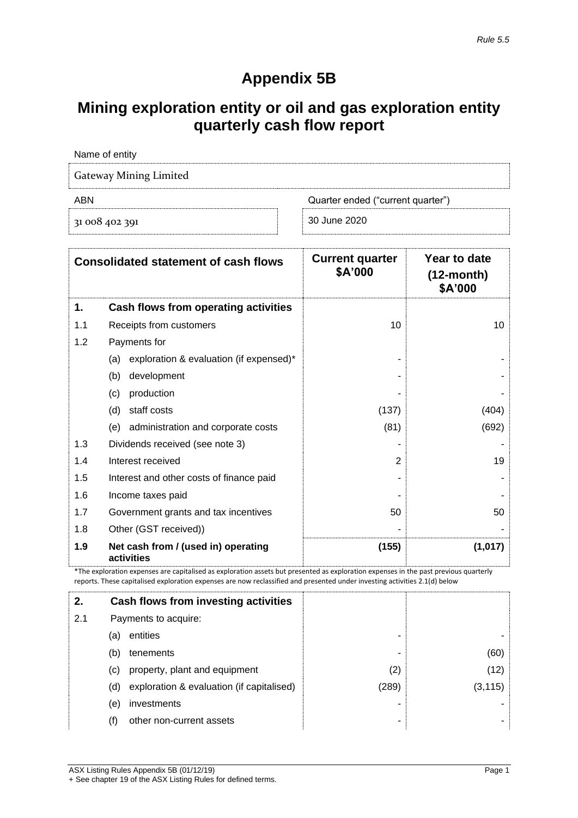# **Appendix 5B**

# **Mining exploration entity or oil and gas exploration entity quarterly cash flow report**

| Name of entity                |                                   |
|-------------------------------|-----------------------------------|
| <b>Gateway Mining Limited</b> |                                   |
| ABN                           | Quarter ended ("current quarter") |
| 31 008 402 391                | 30 June 2020                      |

|     | <b>Consolidated statement of cash flows</b>       | <b>Current quarter</b><br>\$A'000 | Year to date<br>$(12$ -month $)$<br>\$A'000 |
|-----|---------------------------------------------------|-----------------------------------|---------------------------------------------|
| 1.  | Cash flows from operating activities              |                                   |                                             |
| 1.1 | Receipts from customers                           | 10                                | 10                                          |
| 1.2 | Payments for                                      |                                   |                                             |
|     | exploration & evaluation (if expensed)*<br>(a)    |                                   |                                             |
|     | (b)<br>development                                |                                   |                                             |
|     | (c)<br>production                                 |                                   |                                             |
|     | (d)<br>staff costs                                | (137)                             | (404)                                       |
|     | administration and corporate costs<br>(e)         | (81)                              | (692)                                       |
| 1.3 | Dividends received (see note 3)                   |                                   |                                             |
| 1.4 | Interest received                                 | $\overline{2}$                    | 19                                          |
| 1.5 | Interest and other costs of finance paid          |                                   |                                             |
| 1.6 | Income taxes paid                                 |                                   |                                             |
| 1.7 | Government grants and tax incentives              | 50                                | 50                                          |
| 1.8 | Other (GST received))                             |                                   |                                             |
| 1.9 | Net cash from / (used in) operating<br>activities | (155)                             | (1,017)                                     |

\*The exploration expenses are capitalised as exploration assets but presented as exploration expenses in the past previous quarterly reports. These capitalised exploration expenses are now reclassified and presented under investing activities 2.1(d) below

| 2.  |     | Cash flows from investing activities      |       |          |
|-----|-----|-------------------------------------------|-------|----------|
| 2.1 |     | Payments to acquire:                      |       |          |
|     | (a) | entities                                  | -     |          |
|     | (b) | tenements                                 | ۰     | (60)     |
|     | (c) | property, plant and equipment             | (2)   | (12)     |
|     | (d) | exploration & evaluation (if capitalised) | (289) | (3, 115) |
|     | (e) | investments                               | ۰     |          |
|     | (†) | other non-current assets                  | ۰     |          |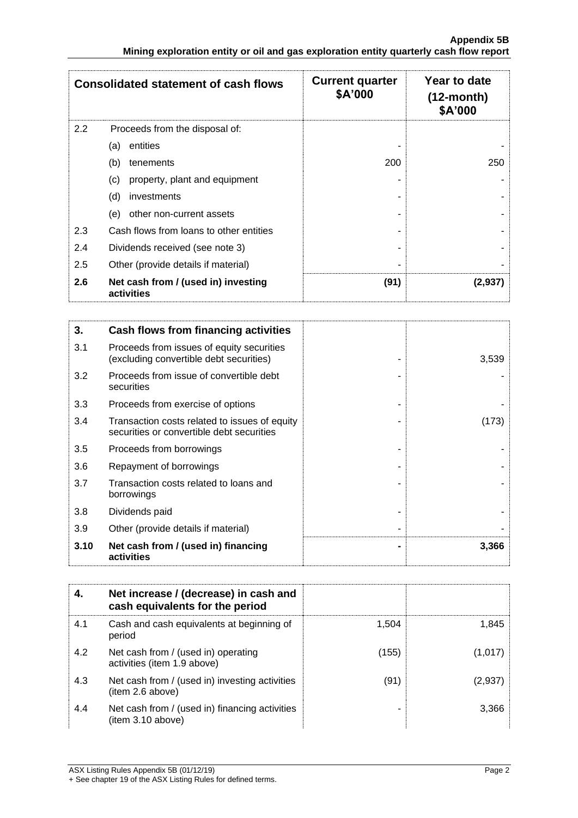|     | <b>Consolidated statement of cash flows</b>       | <b>Current quarter</b><br>\$A'000 | Year to date<br>$(12$ -month)<br>\$A'000 |
|-----|---------------------------------------------------|-----------------------------------|------------------------------------------|
| 2.2 | Proceeds from the disposal of:                    |                                   |                                          |
|     | entities<br>(a)                                   |                                   |                                          |
|     | (b)<br>tenements                                  | 200                               | 250                                      |
|     | property, plant and equipment<br>(c)              |                                   |                                          |
|     | (d)<br>investments                                |                                   |                                          |
|     | other non-current assets<br>(e)                   |                                   |                                          |
| 2.3 | Cash flows from loans to other entities           |                                   |                                          |
| 2.4 | Dividends received (see note 3)                   |                                   |                                          |
| 2.5 | Other (provide details if material)               | -                                 |                                          |
| 2.6 | Net cash from / (used in) investing<br>activities | (91)                              | (2,937                                   |

| 3.   | Cash flows from financing activities                                                       |       |
|------|--------------------------------------------------------------------------------------------|-------|
| 3.1  | Proceeds from issues of equity securities<br>(excluding convertible debt securities)       | 3,539 |
| 3.2  | Proceeds from issue of convertible debt<br>securities                                      |       |
| 3.3  | Proceeds from exercise of options                                                          |       |
| 3.4  | Transaction costs related to issues of equity<br>securities or convertible debt securities | (173) |
| 3.5  | Proceeds from borrowings                                                                   |       |
| 3.6  | Repayment of borrowings                                                                    |       |
| 3.7  | Transaction costs related to loans and<br>borrowings                                       |       |
| 3.8  | Dividends paid                                                                             |       |
| 3.9  | Other (provide details if material)                                                        |       |
| 3.10 | Net cash from / (used in) financing<br>activities                                          | 3,366 |

| 4.  | Net increase / (decrease) in cash and<br>cash equivalents for the period |       |         |
|-----|--------------------------------------------------------------------------|-------|---------|
| 4.1 | Cash and cash equivalents at beginning of<br>period                      | 1.504 | 1.845   |
| 4.2 | Net cash from / (used in) operating<br>activities (item 1.9 above)       | (155) | (1,017) |
| 4.3 | Net cash from / (used in) investing activities<br>(item 2.6 above)       | (91)  | (2,937) |
| 4.4 | Net cash from / (used in) financing activities<br>item 3.10 above)       |       | 3.366   |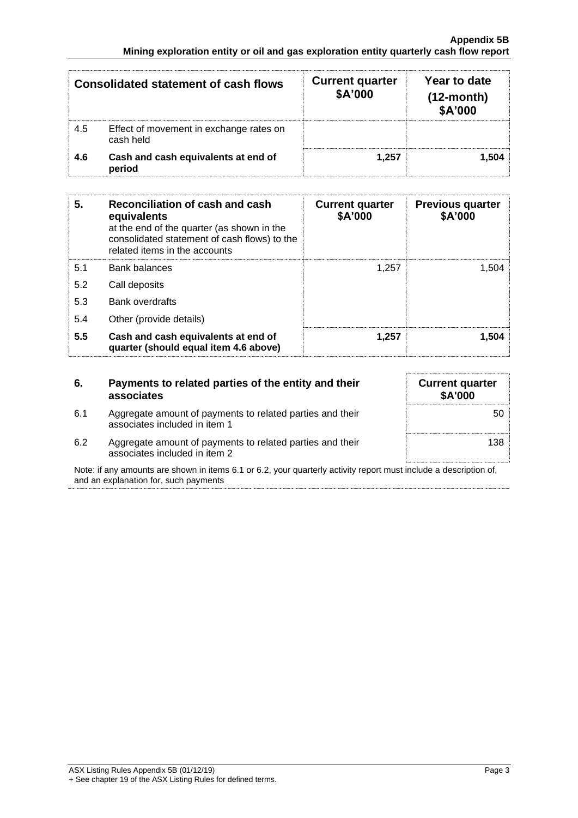|     | <b>Consolidated statement of cash flows</b>          | <b>Current quarter</b><br>\$A'000 | Year to date<br>$(12$ -month $)$<br>\$A'000 |
|-----|------------------------------------------------------|-----------------------------------|---------------------------------------------|
| 4.5 | Effect of movement in exchange rates on<br>cash held |                                   |                                             |
| 4.6 | Cash and cash equivalents at end of<br>period        | 1.257                             | 1.504                                       |

| 5.  | Reconciliation of cash and cash<br>equivalents<br>at the end of the quarter (as shown in the<br>consolidated statement of cash flows) to the<br>related items in the accounts | <b>Current quarter</b><br>\$A'000 | <b>Previous quarter</b><br>\$A'000 |
|-----|-------------------------------------------------------------------------------------------------------------------------------------------------------------------------------|-----------------------------------|------------------------------------|
| 5.1 | <b>Bank balances</b>                                                                                                                                                          | 1.257                             | 1.504                              |
| 5.2 | Call deposits                                                                                                                                                                 |                                   |                                    |
| 5.3 | <b>Bank overdrafts</b>                                                                                                                                                        |                                   |                                    |
| 5.4 | Other (provide details)                                                                                                                                                       |                                   |                                    |
| 5.5 | Cash and cash equivalents at end of<br>quarter (should equal item 4.6 above)                                                                                                  | 1.257                             | 1.504                              |

| 6.  | Payments to related parties of the entity and their<br>associates                          | <b>Current quarter</b><br><b>\$A'000</b> |
|-----|--------------------------------------------------------------------------------------------|------------------------------------------|
| 6.1 | Aggregate amount of payments to related parties and their<br>associates included in item 1 | 50                                       |
| 6.2 | Aggregate amount of payments to related parties and their<br>associates included in item 2 | 138                                      |

Note: if any amounts are shown in items 6.1 or 6.2, your quarterly activity report must include a description of, and an explanation for, such payments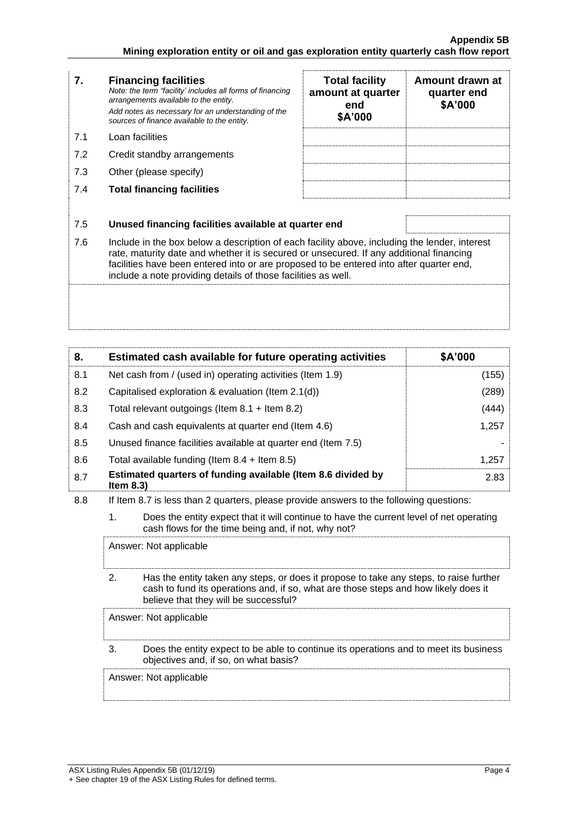| 7.  | <b>Financing facilities</b><br>Note: the term "facility' includes all forms of financing<br>arrangements available to the entity.<br>Add notes as necessary for an understanding of the<br>sources of finance available to the entity.                                                                                                               | <b>Total facility</b><br>amount at quarter<br>end<br>\$A'000 | Amount drawn at<br>quarter end<br>\$A'000 |
|-----|------------------------------------------------------------------------------------------------------------------------------------------------------------------------------------------------------------------------------------------------------------------------------------------------------------------------------------------------------|--------------------------------------------------------------|-------------------------------------------|
| 7.1 | Loan facilities                                                                                                                                                                                                                                                                                                                                      |                                                              |                                           |
| 7.2 | Credit standby arrangements                                                                                                                                                                                                                                                                                                                          |                                                              |                                           |
| 7.3 | Other (please specify)                                                                                                                                                                                                                                                                                                                               |                                                              |                                           |
| 7.4 | <b>Total financing facilities</b>                                                                                                                                                                                                                                                                                                                    |                                                              |                                           |
|     |                                                                                                                                                                                                                                                                                                                                                      |                                                              |                                           |
| 7.5 | Unused financing facilities available at quarter end                                                                                                                                                                                                                                                                                                 |                                                              |                                           |
| 7.6 | Include in the box below a description of each facility above, including the lender, interest<br>rate, maturity date and whether it is secured or unsecured. If any additional financing<br>facilities have been entered into or are proposed to be entered into after quarter end,<br>include a note providing details of those facilities as well. |                                                              |                                           |
|     |                                                                                                                                                                                                                                                                                                                                                      |                                                              |                                           |

| 8.  | Estimated cash available for future operating activities                     | \$A'000 |
|-----|------------------------------------------------------------------------------|---------|
| 8.1 | Net cash from / (used in) operating activities (Item 1.9)                    | (155)   |
| 8.2 | Capitalised exploration & evaluation (Item $2.1(d)$ )                        | (289)   |
| 8.3 | Total relevant outgoings (Item $8.1 +$ Item $8.2$ )                          | (444)   |
| 8.4 | Cash and cash equivalents at quarter end (Item 4.6)                          | 1,257   |
| 8.5 | Unused finance facilities available at quarter end (Item 7.5)                |         |
| 8.6 | Total available funding (Item $8.4 +$ Item $8.5$ )                           | 1,257   |
| 8.7 | Estimated quarters of funding available (Item 8.6 divided by<br>Item $8.3$ ) | 2.83    |

#### 8.8 If Item 8.7 is less than 2 quarters, please provide answers to the following questions:

1. Does the entity expect that it will continue to have the current level of net operating cash flows for the time being and, if not, why not?

Answer: Not applicable

2. Has the entity taken any steps, or does it propose to take any steps, to raise further cash to fund its operations and, if so, what are those steps and how likely does it believe that they will be successful?

Answer: Not applicable

### 3. Does the entity expect to be able to continue its operations and to meet its business objectives and, if so, on what basis?

Answer: Not applicable